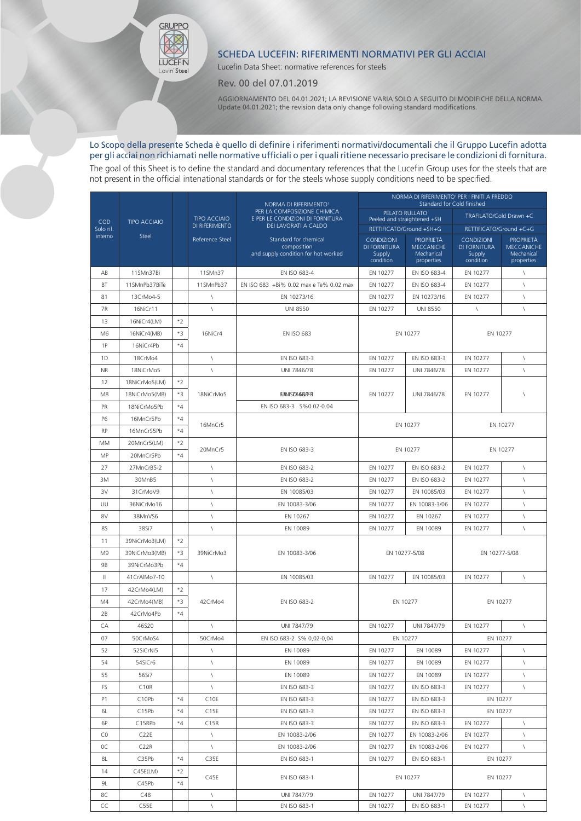## SCHEDA LUCEFIN: RIFERIMENTI NORMATIVI PER GLI ACCIAI

Lucefin Data Sheet: normative references for steels

Rev. 00 del 07.01.2019

GRUPPO

**LUCEFIN** Lovin'Steel

> AGGIORNAMENTO DEL 04.01.2021; LA REVISIONE VARIA SOLO A SEGUITO DI MODIFICHE DELLA NORMA. Update 04.01.2021; the revision data only change following standard modifications.

## Lo Scopo della presente Scheda è quello di definire i riferimenti normativi/documentali che il Gruppo Lucefin adotta per gli acciai non richiamati nelle normative ufficiali o per i quali ritiene necessario precisare le condizioni di fornitura.

The goal of this Sheet is to define the standard and documentary references that the Lucefin Group uses for the steels that are not present in the official intenational standards or for the steels whose supply conditions need to be specified.

|                  |                     |      | <b>TIPO ACCIAIO</b><br>DI RIFERIMENTO<br>Reference Steel | NORMA DI RIFERIMENTO <sup>1</sup>                               | NORMA DI RIFERIMENTO <sup>1</sup> PER I FINITI A FREDDO<br>Standard for Cold finished |                                 |                         |                                 |  |
|------------------|---------------------|------|----------------------------------------------------------|-----------------------------------------------------------------|---------------------------------------------------------------------------------------|---------------------------------|-------------------------|---------------------------------|--|
|                  |                     |      |                                                          | PER LA COMPOSIZIONE CHIMICA<br>E PER LE CONDIZIONI DI FORNITURA |                                                                                       | PELATO RULLATO                  | TRAFILATO/Cold Drawn +C |                                 |  |
| COD<br>Solo rif. | <b>TIPO ACCIAIO</b> |      |                                                          | DEI LAVORATI A CALDO                                            | Peeled and straightened +SH<br>RETTIFICATO/Ground +SH+G                               |                                 | RETTIFICATO/Ground +C+G |                                 |  |
| interno          | Steel               |      |                                                          | Standard for chemical                                           | <b>CONDIZIONI</b>                                                                     | <b>PROPRIETÀ</b>                | <b>CONDIZIONI</b>       | <b>PROPRIETÀ</b>                |  |
|                  |                     |      |                                                          | composition<br>and supply condition for hot worked              | DI FORNITURA<br>Supply                                                                | <b>MECCANICHE</b><br>Mechanical | DI FORNITURA<br>Supply  | <b>MECCANICHE</b><br>Mechanical |  |
|                  |                     |      |                                                          |                                                                 | condition                                                                             | properties                      | condition               | properties                      |  |
| AB               | 11SMn37Bi           |      | 11SMn37                                                  | EN ISO 683-4                                                    | EN 10277                                                                              | EN ISO 683-4                    | EN 10277                | $\sqrt{2}$                      |  |
| BT               | 11SMnPb37BiTe       |      | 11SMnPb37                                                | EN ISO 683 +Bi% 0.02 max e Te% 0.02 max                         | EN 10277                                                                              | EN ISO 683-4                    | EN 10277                | $\setminus$                     |  |
| 81               | 13CrMo4-5           |      | $\lambda$                                                | EN 10273/16                                                     | EN 10277                                                                              | EN 10273/16                     | EN 10277                | $\sqrt{2}$                      |  |
| 7R               | 16NiCr11            |      | $\sqrt{2}$                                               | <b>UNI 8550</b>                                                 | EN 10277                                                                              | <b>UNI 8550</b>                 | $\lambda$               | $\sqrt{2}$                      |  |
| 13               | 16NiCr4(LM)         | $*2$ |                                                          |                                                                 |                                                                                       |                                 |                         |                                 |  |
| M <sub>6</sub>   | 16NiCr4(MB)         | $*3$ | 16NiCr4                                                  | <b>EN ISO 683</b>                                               | EN 10277                                                                              |                                 | EN 10277                |                                 |  |
| 1P               | 16NiCr4Pb           | $*4$ |                                                          |                                                                 |                                                                                       |                                 |                         |                                 |  |
| 1D               | 18CrMo4             |      | $\sqrt{2}$                                               | EN ISO 683-3                                                    | EN 10277                                                                              | EN ISO 683-3                    | EN 10277                | $\sqrt{2}$                      |  |
| <b>NR</b>        | 18NiCrMo5           |      | $\lambda$                                                | UNI 7846/78                                                     | EN 10277                                                                              | UNI 7846/78                     | EN 10277                | $\sqrt{2}$                      |  |
| 12               | 18NiCrMo5(LM)       | $*2$ |                                                          |                                                                 |                                                                                       |                                 |                         |                                 |  |
| M8               | 18NiCrMo5(MB)       | $*3$ | 18NiCrMo5                                                | <b>ENISTB6687-8</b>                                             | EN 10277                                                                              | UNI 7846/78                     | EN 10277                | $\sqrt{2}$                      |  |
| PR               | 18NiCrMo5Pb         | $*4$ |                                                          | EN ISO 683-3 S%0.02-0.04                                        |                                                                                       |                                 |                         |                                 |  |
| <b>P6</b>        | 16MnCr5Pb           | $*4$ | 16MnCr5                                                  |                                                                 |                                                                                       | EN 10277                        |                         | EN 10277                        |  |
| <b>RP</b>        | 16MnCrS5Pb          | $*4$ |                                                          |                                                                 |                                                                                       |                                 |                         |                                 |  |
| MM               | 20MnCr5(LM)         | $*2$ | 20MnCr5                                                  | EN ISO 683-3                                                    |                                                                                       | EN 10277                        |                         | EN 10277                        |  |
| <b>MP</b>        | 20MnCr5Pb           | $*4$ |                                                          |                                                                 |                                                                                       |                                 |                         |                                 |  |
| 27               | 27MnCrB5-2          |      | $\sqrt{2}$                                               | EN ISO 683-2                                                    | EN 10277                                                                              | EN ISO 683-2                    | EN 10277                | $\sqrt{2}$                      |  |
| 3M               | 30MnB5              |      | $\sqrt{2}$                                               | EN ISO 683-2                                                    | EN 10277                                                                              | EN ISO 683-2                    | EN 10277                | $\sqrt{ }$                      |  |
| 3V               | 31CrMoV9            |      | $\sqrt{2}$                                               | EN 10085/03                                                     | EN 10277                                                                              | EN 10085/03                     | EN 10277                | $\sqrt{2}$                      |  |
| UU               | 36NiCrMo16          |      | $\sqrt{2}$                                               | EN 10083-3/06                                                   | EN 10277                                                                              | EN 10083-3/06                   | EN 10277                | $\backslash$                    |  |
| 8V               | 38MnVS6             |      | $\sqrt{2}$                                               | EN 10267                                                        | EN 10277                                                                              | EN 10267                        | EN 10277                | $\sqrt{2}$                      |  |
| 85               | 38Si7               |      | $\lambda$                                                | EN 10089                                                        | EN 10277                                                                              | EN 10089                        | EN 10277                | $\setminus$                     |  |
| 11               | 39NiCrMo3(LM)       | $*2$ |                                                          |                                                                 |                                                                                       |                                 |                         |                                 |  |
| M <sub>9</sub>   | 39NiCrMo3(MB)       | $*3$ | 39NiCrMo3                                                | EN 10083-3/06                                                   | EN 10277-5/08                                                                         |                                 | EN 10277-5/08           |                                 |  |
| 9B               | 39NiCrMo3Pb         | $*4$ |                                                          |                                                                 |                                                                                       |                                 |                         |                                 |  |
| Ш                | 41CrAlMo7-10        |      | $\sqrt{2}$                                               | EN 10085/03                                                     | EN 10277                                                                              | EN 10085/03                     | EN 10277                | $\sqrt{2}$                      |  |
| 17               | 42CrMo4(LM)         | $*2$ |                                                          |                                                                 |                                                                                       |                                 |                         |                                 |  |
| M4               | 42CrMo4(MB)         | $*3$ | 42CrMo4                                                  | EN ISO 683-2                                                    | EN 10277                                                                              |                                 | EN 10277                |                                 |  |
| 2B               | 42CrMo4Pb           | $*4$ |                                                          |                                                                 |                                                                                       |                                 |                         |                                 |  |
| CA               | 46S20               |      | $\setminus$                                              | UNI 7847/79                                                     | EN 10277                                                                              | UNI 7847/79                     | EN 10277                | $\setminus$                     |  |
| 07               | 50CrMoS4            |      | 50CrMo4                                                  | EN ISO 683-2 S% 0,02-0,04                                       | EN 10277                                                                              |                                 | EN 10277                |                                 |  |
| 52               | 52SiCrNi5           |      | A                                                        | EN 10089                                                        | EN 10277                                                                              | EN 10089                        | EN 10277                | $\backslash$                    |  |
| 54               | 54SiCr6             |      | $\sqrt{2}$                                               | EN 10089                                                        | EN 10277                                                                              | EN 10089                        | EN 10277                | $\backslash$                    |  |
| 55               | 56Si7               |      | $\sqrt{2}$                                               | EN 10089                                                        | EN 10277                                                                              | EN 10089                        | EN 10277                | $\sqrt{2}$                      |  |
| FS               | C <sub>10R</sub>    |      | $\sqrt{2}$                                               | EN ISO 683-3                                                    | EN 10277                                                                              | EN ISO 683-3                    | EN 10277                | $\sqrt{2}$                      |  |
| P1               | C <sub>10Pb</sub>   | $*4$ | C <sub>10E</sub>                                         | EN ISO 683-3                                                    | EN 10277                                                                              | EN ISO 683-3                    | EN 10277                |                                 |  |
| 6L               | C <sub>15Pb</sub>   | $*4$ | C15E                                                     | EN ISO 683-3                                                    | EN 10277<br>EN ISO 683-3                                                              |                                 | EN 10277                |                                 |  |
| 6P               | C15RPb              | $*4$ | C15R                                                     | EN ISO 683-3                                                    | EN 10277                                                                              | EN ISO 683-3                    | EN 10277                | $\sqrt{2}$                      |  |
| C0               | C <sub>22</sub> E   |      | $\sqrt{2}$                                               | EN 10083-2/06                                                   | EN 10277                                                                              | EN 10083-2/06                   | EN 10277                | $\sqrt{2}$                      |  |
| 0C               | C <sub>2</sub> 2R   |      | $\sqrt{2}$                                               | EN 10083-2/06                                                   | EN 10277                                                                              | EN 10083-2/06                   | EN 10277                | $\sqrt{2}$                      |  |
| 8L               | C35Pb               | $*4$ | C35E                                                     | EN ISO 683-1                                                    | EN 10277                                                                              | EN ISO 683-1                    | EN 10277                |                                 |  |
| 14               | C45E(LM)            | $*2$ | C45E                                                     | EN ISO 683-1                                                    | EN 10277                                                                              |                                 | EN 10277                |                                 |  |
| 9L               | C45Pb               | $*4$ |                                                          |                                                                 |                                                                                       |                                 |                         |                                 |  |
| 8C               | C48                 |      | $\lambda$                                                | UNI 7847/79                                                     | EN 10277                                                                              | UNI 7847/79                     | EN 10277                | $\backslash$                    |  |
| CC               | C55E                |      | $\lambda$                                                | EN ISO 683-1                                                    | EN 10277                                                                              | EN ISO 683-1                    | EN 10277                | $\sqrt{2}$                      |  |